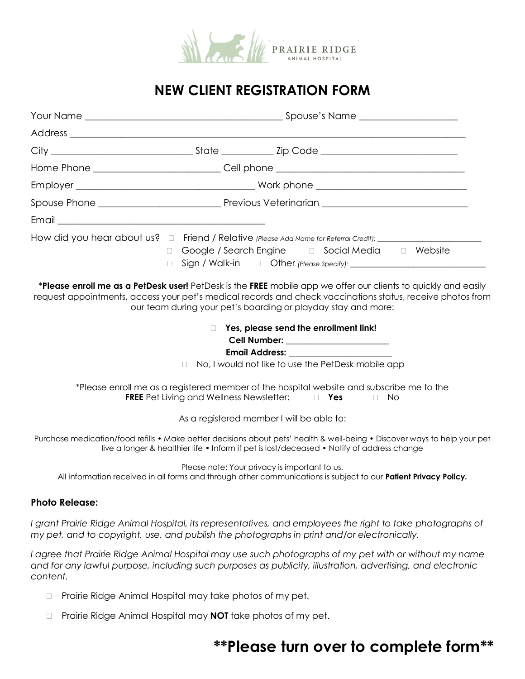

## **NEW CLIENT REGISTRATION FORM**

|  | Home Phone _____________________________Cell phone ______________________________                                                                                                                                            |  |  |  |  |  |
|--|------------------------------------------------------------------------------------------------------------------------------------------------------------------------------------------------------------------------------|--|--|--|--|--|
|  |                                                                                                                                                                                                                              |  |  |  |  |  |
|  |                                                                                                                                                                                                                              |  |  |  |  |  |
|  |                                                                                                                                                                                                                              |  |  |  |  |  |
|  | □ Google / Search Engine □ Social Media □ Website                                                                                                                                                                            |  |  |  |  |  |
|  | *Please enroll me as a PetDesk user! PetDesk is the FREE mobile app we offer our clients to quickly and easily<br>request appointments, access your pet's medical records and check vaccinations status, receive photos from |  |  |  |  |  |

our team during your pet's boarding or playday stay and more:

#### **Yes, please send the enrollment link! Cell Number: \_\_\_\_\_\_\_\_\_\_\_\_\_\_\_\_\_\_\_\_\_\_\_\_**

**Email Address: \_\_\_\_\_\_\_\_\_\_\_\_\_\_\_\_\_\_\_\_\_\_\_\_**

□ No, I would not like to use the PetDesk mobile app

\*Please enroll me as a registered member of the hospital website and subscribe me to the **FREE** Pet Living and Wellness Newsletter:  $\Box$  **Yes**  $\Box$  No

As a registered member I will be able to:

Purchase medication/food refills • Make better decisions about pets' health & well-being **•** Discover ways to help your pet live a longer & healthier life • Inform if pet is lost/deceased **•** Notify of address change

Please note: Your privacy is important to us.

All information received in all forms and through other communications is subject to our **Patient Privacy Policy.**

#### **Photo Release:**

*I grant Prairie Ridge Animal Hospital, its representatives, and employees the right to take photographs of my pet, and to copyright, use, and publish the photographs in print and/or electronically.*

*I agree that Prairie Ridge Animal Hospital may use such photographs of my pet with or without my name and for any lawful purpose, including such purposes as publicity, illustration, advertising, and electronic content.*

- □ Prairie Ridge Animal Hospital may take photos of my pet.
- □ Prairie Ridge Animal Hospital may **NOT** take photos of my pet.

# **\*\*Please turn over to complete form\*\***